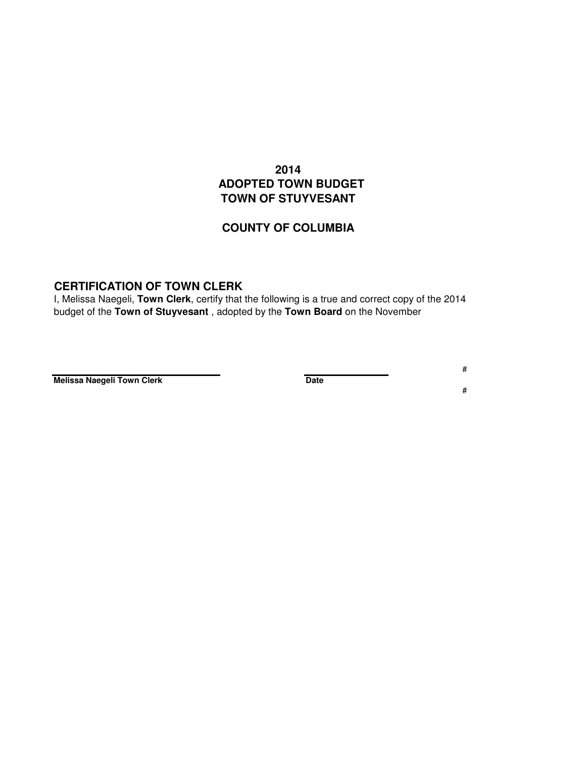## **2014 ADOPTED TOWN BUDGET TOWN OF STUYVESANT**

## **COUNTY OF COLUMBIA**

## **CERTIFICATION OF TOWN CLERK**

I, Melissa Naegeli, **Town Clerk**, certify that the following is a true and correct copy of the 2014 budget of the **Town of Stuyvesant** , adopted by the **Town Board** on the November

**Melissa Naegeli Town Clerk Date** 

# #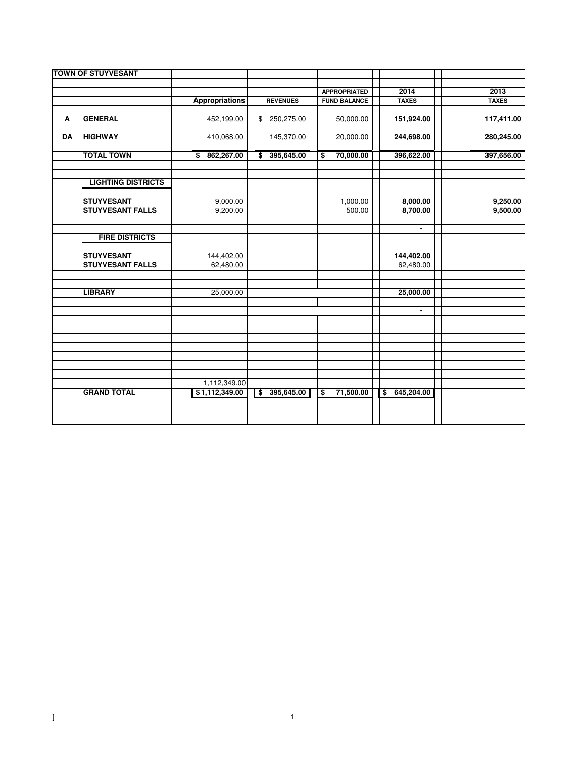|           |                           |                                |                 |                         | <b>APPROPRIATED</b> | 2014           | 2013         |
|-----------|---------------------------|--------------------------------|-----------------|-------------------------|---------------------|----------------|--------------|
|           |                           | <b>Appropriations</b>          | <b>REVENUES</b> |                         | <b>FUND BALANCE</b> | <b>TAXES</b>   | <b>TAXES</b> |
| A         | <b>GENERAL</b>            | 452,199.00                     | \$250,275.00    |                         | 50,000.00           | 151,924.00     | 117,411.00   |
| <b>DA</b> | <b>HIGHWAY</b>            | 410,068.00                     | 145,370.00      |                         | 20,000.00           | 244,698.00     | 280,245.00   |
|           | <b>TOTAL TOWN</b>         | \$862,267.00                   | \$395,645.00    | \$                      | 70,000.00           | 396,622.00     | 397,656.00   |
|           | <b>LIGHTING DISTRICTS</b> |                                |                 |                         |                     |                |              |
|           | <b>STUYVESANT</b>         | 9,000.00                       |                 |                         | 1,000.00            | 8,000.00       | 9,250.00     |
|           | <b>STUYVESANT FALLS</b>   | 9,200.00                       |                 |                         | 500.00              | 8,700.00       | 9,500.00     |
|           | <b>FIRE DISTRICTS</b>     |                                |                 |                         |                     | $\blacksquare$ |              |
|           | <b>STUYVESANT</b>         | 144,402.00                     |                 |                         |                     | 144,402.00     |              |
|           | <b>STUYVESANT FALLS</b>   | 62,480.00                      |                 |                         |                     | 62,480.00      |              |
|           | <b>LIBRARY</b>            | 25,000.00                      |                 |                         |                     | 25,000.00      |              |
|           |                           |                                |                 |                         |                     | $\blacksquare$ |              |
|           |                           |                                |                 |                         |                     |                |              |
|           |                           |                                |                 |                         |                     |                |              |
|           |                           |                                |                 |                         |                     |                |              |
|           | <b>GRAND TOTAL</b>        | 1,112,349.00<br>\$1,112,349.00 | \$395,645.00    | $\overline{\mathbf{s}}$ | 71,500.00           | \$645,204.00   |              |
|           |                           |                                |                 |                         |                     |                |              |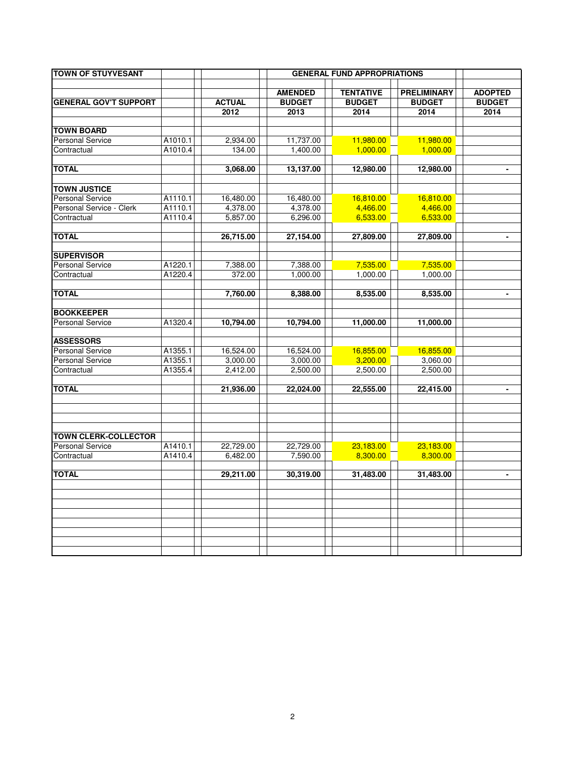| <b>TOWN OF STUYVESANT</b>                              |         |               |                | <b>GENERAL FUND APPROPRIATIONS</b> |                    |                |
|--------------------------------------------------------|---------|---------------|----------------|------------------------------------|--------------------|----------------|
|                                                        |         |               |                |                                    |                    |                |
|                                                        |         |               | <b>AMENDED</b> | <b>TENTATIVE</b>                   | <b>PRELIMINARY</b> | <b>ADOPTED</b> |
| <b>GENERAL GOV'T SUPPORT</b>                           |         | <b>ACTUAL</b> | <b>BUDGET</b>  | <b>BUDGET</b>                      | <b>BUDGET</b>      | <b>BUDGET</b>  |
|                                                        |         | 2012          | 2013           | 2014                               | 2014               | 2014           |
| <b>TOWN BOARD</b>                                      |         |               |                |                                    |                    |                |
| <b>Personal Service</b>                                | A1010.1 | 2,934.00      | 11,737.00      | 11,980.00                          | 11,980.00          |                |
| Contractual                                            | A1010.4 | 134.00        | 1,400.00       | 1,000.00                           | 1,000.00           |                |
|                                                        |         |               |                |                                    |                    |                |
| <b>TOTAL</b>                                           |         | 3,068.00      | 13,137.00      | 12,980.00                          | 12,980.00          | $\blacksquare$ |
|                                                        |         |               |                |                                    |                    |                |
| <b>TOWN JUSTICE</b>                                    |         |               |                |                                    |                    |                |
| <b>Personal Service</b>                                | A1110.1 | 16,480.00     | 16,480.00      | 16,810.00                          | 16,810.00          |                |
| Personal Service - Clerk                               | A1110.1 | 4,378.00      | 4,378.00       | 4,466.00                           | 4,466.00           |                |
| Contractual                                            | A1110.4 | 5,857.00      | 6,296.00       | 6,533.00                           | 6,533.00           |                |
|                                                        |         |               |                |                                    |                    |                |
| <b>TOTAL</b>                                           |         | 26,715.00     | 27,154.00      | 27,809.00                          | 27,809.00          | ۰              |
| <b>SUPERVISOR</b>                                      |         |               |                |                                    |                    |                |
| <b>Personal Service</b>                                | A1220.1 | 7,388.00      | 7,388.00       | 7,535.00                           | 7,535.00           |                |
| Contractual                                            | A1220.4 | 372.00        | 1,000.00       | 1,000.00                           | 1,000.00           |                |
|                                                        |         |               |                |                                    |                    |                |
| <b>TOTAL</b>                                           |         | 7,760.00      | 8,388.00       | 8,535.00                           | 8,535.00           |                |
| <b>BOOKKEEPER</b>                                      |         |               |                |                                    |                    |                |
| <b>Personal Service</b>                                | A1320.4 | 10,794.00     | 10,794.00      | 11,000.00                          | 11,000.00          |                |
|                                                        |         |               |                |                                    |                    |                |
| <b>ASSESSORS</b>                                       |         |               |                |                                    |                    |                |
| <b>Personal Service</b>                                | A1355.1 | 16,524.00     | 16,524.00      | 16,855.00                          | 16,855.00          |                |
| <b>Personal Service</b>                                | A1355.1 | 3,000.00      | 3,000.00       | 3,200.00                           | 3,060.00           |                |
| Contractual                                            | A1355.4 | 2,412.00      | 2,500.00       | 2,500.00                           | 2,500.00           |                |
|                                                        |         |               |                |                                    |                    |                |
| <b>TOTAL</b>                                           |         | 21,936.00     | 22,024.00      | 22,555.00                          | 22,415.00          | ۰              |
|                                                        |         |               |                |                                    |                    |                |
|                                                        |         |               |                |                                    |                    |                |
|                                                        |         |               |                |                                    |                    |                |
| <b>TOWN CLERK-COLLECTOR</b><br><b>Personal Service</b> |         |               |                |                                    |                    |                |
|                                                        | A1410.1 | 22,729.00     | 22,729.00      | 23,183.00                          | 23,183.00          |                |
| Contractual                                            | A1410.4 | 6,482.00      | 7,590.00       | 8,300.00                           | 8,300.00           |                |
| <b>TOTAL</b>                                           |         | 29,211.00     | 30,319.00      | 31,483.00                          | 31,483.00          | $\blacksquare$ |
|                                                        |         |               |                |                                    |                    |                |
|                                                        |         |               |                |                                    |                    |                |
|                                                        |         |               |                |                                    |                    |                |
|                                                        |         |               |                |                                    |                    |                |
|                                                        |         |               |                |                                    |                    |                |
|                                                        |         |               |                |                                    |                    |                |
|                                                        |         |               |                |                                    |                    |                |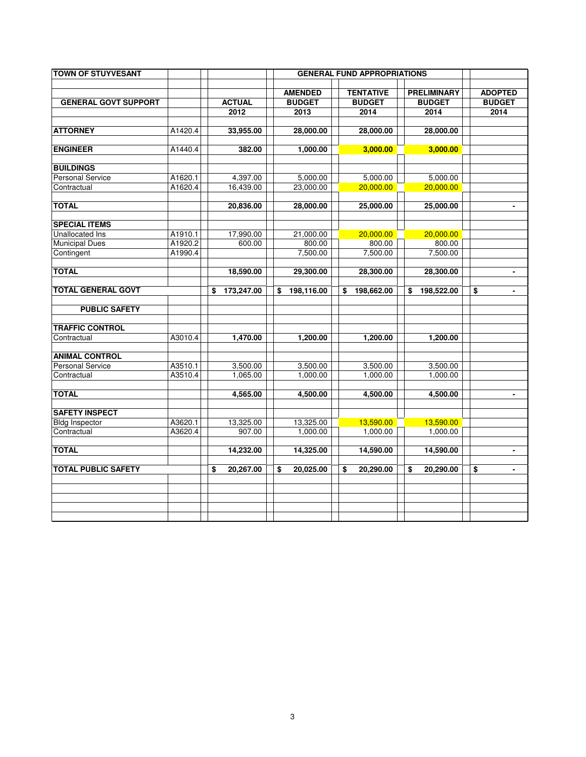| <b>TOWN OF STUYVESANT</b>   |         |                       |                                         | <b>GENERAL FUND APPROPRIATIONS</b>        |                                             |                                         |
|-----------------------------|---------|-----------------------|-----------------------------------------|-------------------------------------------|---------------------------------------------|-----------------------------------------|
| <b>GENERAL GOVT SUPPORT</b> |         | <b>ACTUAL</b><br>2012 | <b>AMENDED</b><br><b>BUDGET</b><br>2013 | <b>TENTATIVE</b><br><b>BUDGET</b><br>2014 | <b>PRELIMINARY</b><br><b>BUDGET</b><br>2014 | <b>ADOPTED</b><br><b>BUDGET</b><br>2014 |
| <b>ATTORNEY</b>             | A1420.4 | 33,955.00             | 28,000.00                               | 28,000.00                                 | 28,000.00                                   |                                         |
| <b>ENGINEER</b>             | A1440.4 | 382.00                | 1,000.00                                | 3,000.00                                  | 3,000.00                                    |                                         |
| <b>BUILDINGS</b>            |         |                       |                                         |                                           |                                             |                                         |
| <b>Personal Service</b>     | A1620.1 | 4,397.00              | 5,000.00                                | 5,000.00                                  | 5,000.00                                    |                                         |
| Contractual                 | A1620.4 | 16,439.00             | 23,000.00                               | 20,000.00                                 | 20,000.00                                   |                                         |
| <b>TOTAL</b>                |         | 20,836.00             | 28,000.00                               | 25,000.00                                 | 25,000.00                                   |                                         |
| <b>SPECIAL ITEMS</b>        |         |                       |                                         |                                           |                                             |                                         |
| Unallocated Ins             | A1910.1 | 17,990.00             | 21,000.00                               | 20,000.00                                 | 20.000.00                                   |                                         |
| <b>Municipal Dues</b>       | A1920.2 | 600.00                | 800.00                                  | 800.00                                    | 800.00                                      |                                         |
| Contingent                  | A1990.4 |                       | 7,500.00                                | 7,500.00                                  | 7,500.00                                    |                                         |
| <b>TOTAL</b>                |         | 18,590.00             | 29,300.00                               | 28,300.00                                 | 28,300.00                                   |                                         |
| <b>TOTAL GENERAL GOVT</b>   |         | \$<br>173,247.00      | 198,116.00<br>\$                        | 198,662.00<br>\$                          | 198,522.00<br>\$                            | \$                                      |
| <b>PUBLIC SAFETY</b>        |         |                       |                                         |                                           |                                             |                                         |
| <b>TRAFFIC CONTROL</b>      |         |                       |                                         |                                           |                                             |                                         |
| Contractual                 | A3010.4 | 1.470.00              | 1.200.00                                | 1.200.00                                  | 1.200.00                                    |                                         |
| <b>ANIMAL CONTROL</b>       |         |                       |                                         |                                           |                                             |                                         |
| <b>Personal Service</b>     | A3510.1 | 3,500.00              | 3,500.00                                | 3,500.00                                  | 3,500.00                                    |                                         |
| Contractual                 | A3510.4 | 1,065.00              | 1,000.00                                | 1,000.00                                  | 1,000.00                                    |                                         |
| <b>TOTAL</b>                |         | 4,565.00              | 4,500.00                                | 4,500.00                                  | 4,500.00                                    | -                                       |
| <b>SAFETY INSPECT</b>       |         |                       |                                         |                                           |                                             |                                         |
| <b>Bldg Inspector</b>       | A3620.1 | 13,325.00             | 13,325.00                               | 13,590.00                                 | 13.590.00                                   |                                         |
| Contractual                 | A3620.4 | 907.00                | 1,000.00                                | 1,000.00                                  | 1,000.00                                    |                                         |
| <b>TOTAL</b>                |         | 14,232.00             | 14,325.00                               | 14,590.00                                 | 14,590.00                                   | $\blacksquare$                          |
| <b>TOTAL PUBLIC SAFETY</b>  |         | \$<br>20,267.00       | \$<br>20,025.00                         | \$<br>20,290.00                           | \$<br>20,290.00                             | \$<br>$\frac{1}{2}$                     |
|                             |         |                       |                                         |                                           |                                             |                                         |
|                             |         |                       |                                         |                                           |                                             |                                         |
|                             |         |                       |                                         |                                           |                                             |                                         |
|                             |         |                       |                                         |                                           |                                             |                                         |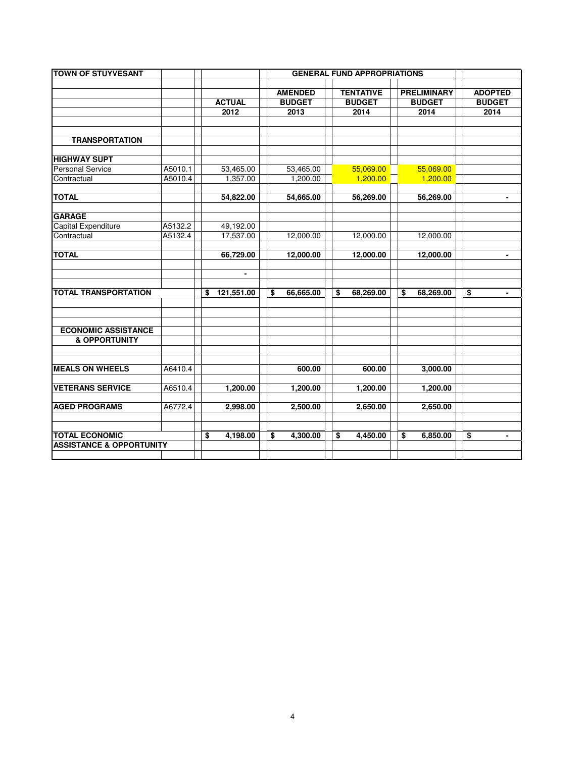| <b>TOWN OF STUYVESANT</b>                                    |         |                  |                 | <b>GENERAL FUND APPROPRIATIONS</b> |                    |                                    |
|--------------------------------------------------------------|---------|------------------|-----------------|------------------------------------|--------------------|------------------------------------|
|                                                              |         |                  |                 |                                    |                    |                                    |
|                                                              |         |                  | <b>AMENDED</b>  | <b>TENTATIVE</b>                   | <b>PRELIMINARY</b> | <b>ADOPTED</b>                     |
|                                                              |         | <b>ACTUAL</b>    | <b>BUDGET</b>   | <b>BUDGET</b>                      | <b>BUDGET</b>      | <b>BUDGET</b>                      |
|                                                              |         | 2012             | 2013            | 2014                               | 2014               | 2014                               |
|                                                              |         |                  |                 |                                    |                    |                                    |
| <b>TRANSPORTATION</b>                                        |         |                  |                 |                                    |                    |                                    |
|                                                              |         |                  |                 |                                    |                    |                                    |
| <b>HIGHWAY SUPT</b>                                          |         |                  |                 |                                    |                    |                                    |
| <b>Personal Service</b>                                      | A5010.1 | 53,465.00        | 53,465.00       | 55,069.00                          | 55,069.00          |                                    |
| Contractual                                                  | A5010.4 | 1,357.00         | 1,200.00        | 1,200.00                           | 1,200.00           |                                    |
|                                                              |         |                  |                 |                                    |                    |                                    |
| <b>TOTAL</b>                                                 |         | 54,822.00        | 54,665.00       | 56,269.00                          | 56,269.00          |                                    |
| <b>GARAGE</b>                                                |         |                  |                 |                                    |                    |                                    |
| Capital Expenditure                                          | A5132.2 | 49,192.00        |                 |                                    |                    |                                    |
| Contractual                                                  | A5132.4 | 17,537.00        | 12,000.00       | 12,000.00                          | 12,000.00          |                                    |
|                                                              |         |                  |                 |                                    |                    |                                    |
| <b>TOTAL</b>                                                 |         | 66,729.00        | 12,000.00       | 12,000.00                          | 12,000.00          | -                                  |
|                                                              |         |                  |                 |                                    |                    |                                    |
|                                                              |         | $\blacksquare$   |                 |                                    |                    |                                    |
|                                                              |         |                  |                 |                                    |                    |                                    |
| <b>TOTAL TRANSPORTATION</b>                                  |         | \$<br>121,551.00 | \$<br>66,665.00 | \$<br>68,269.00                    | \$<br>68,269.00    | \$<br>$\overline{\phantom{a}}$     |
|                                                              |         |                  |                 |                                    |                    |                                    |
|                                                              |         |                  |                 |                                    |                    |                                    |
| <b>ECONOMIC ASSISTANCE</b>                                   |         |                  |                 |                                    |                    |                                    |
| <b>&amp; OPPORTUNITY</b>                                     |         |                  |                 |                                    |                    |                                    |
|                                                              |         |                  |                 |                                    |                    |                                    |
|                                                              |         |                  |                 |                                    |                    |                                    |
| <b>MEALS ON WHEELS</b>                                       | A6410.4 |                  | 600.00          | 600.00                             | 3,000.00           |                                    |
|                                                              |         |                  |                 |                                    |                    |                                    |
| <b>VETERANS SERVICE</b>                                      | A6510.4 | 1,200.00         | 1,200.00        | 1,200.00                           | 1,200.00           |                                    |
|                                                              |         |                  |                 |                                    |                    |                                    |
| <b>AGED PROGRAMS</b>                                         | A6772.4 | 2,998.00         | 2,500.00        | 2,650.00                           | 2,650.00           |                                    |
|                                                              |         |                  |                 |                                    |                    |                                    |
|                                                              |         |                  |                 |                                    |                    |                                    |
| <b>TOTAL ECONOMIC</b><br><b>ASSISTANCE &amp; OPPORTUNITY</b> |         | \$<br>4,198.00   | \$<br>4,300.00  | \$<br>4,450.00                     | \$<br>6,850.00     | \$<br>$\qquad \qquad \blacksquare$ |
|                                                              |         |                  |                 |                                    |                    |                                    |
|                                                              |         |                  |                 |                                    |                    |                                    |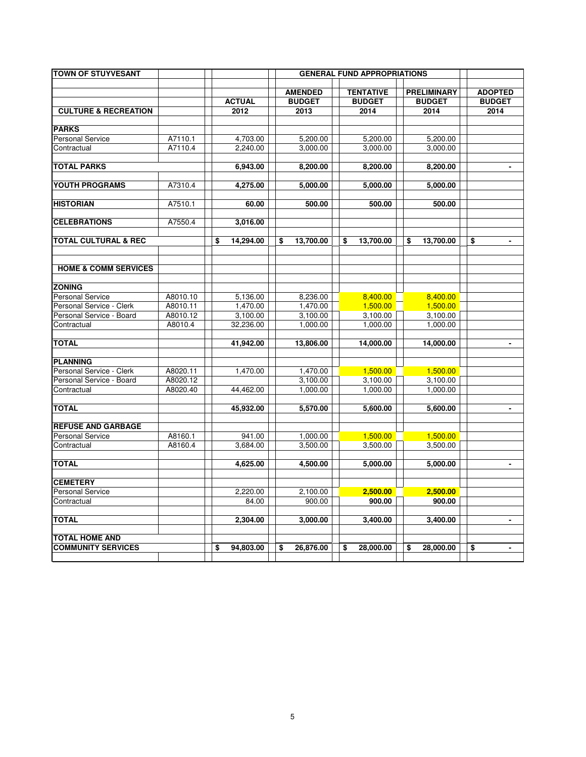| <b>TOWN OF STUYVESANT</b>              |          |                 |                                 | <b>GENERAL FUND APPROPRIATIONS</b> |                                     |                                 |
|----------------------------------------|----------|-----------------|---------------------------------|------------------------------------|-------------------------------------|---------------------------------|
|                                        |          | <b>ACTUAL</b>   | <b>AMENDED</b><br><b>BUDGET</b> | <b>TENTATIVE</b><br><b>BUDGET</b>  | <b>PRELIMINARY</b><br><b>BUDGET</b> | <b>ADOPTED</b><br><b>BUDGET</b> |
| <b>CULTURE &amp; RECREATION</b>        |          | 2012            | 2013                            | 2014                               | 2014                                | 2014                            |
|                                        |          |                 |                                 |                                    |                                     |                                 |
| <b>PARKS</b>                           | A7110.1  | 4,703.00        | 5,200.00                        | 5,200.00                           | 5,200.00                            |                                 |
| <b>Personal Service</b><br>Contractual | A7110.4  | 2,240.00        | 3,000.00                        | 3,000.00                           | 3,000.00                            |                                 |
|                                        |          |                 |                                 |                                    |                                     |                                 |
| <b>TOTAL PARKS</b>                     |          | 6,943.00        | 8,200.00                        | 8,200.00                           | 8,200.00                            | $\overline{a}$                  |
|                                        |          |                 |                                 |                                    |                                     |                                 |
| YOUTH PROGRAMS                         | A7310.4  | 4,275.00        | 5,000.00                        | 5,000.00                           | 5,000.00                            |                                 |
| <b>HISTORIAN</b>                       | A7510.1  | 60.00           | 500.00                          | 500.00                             | 500.00                              |                                 |
| <b>CELEBRATIONS</b>                    | A7550.4  | 3,016.00        |                                 |                                    |                                     |                                 |
| <b>TOTAL CULTURAL &amp; REC</b>        |          |                 |                                 |                                    |                                     |                                 |
|                                        |          | \$<br>14,294.00 | \$<br>13,700.00                 | 13,700.00<br>\$                    | \$<br>13,700.00                     | \$<br>$\blacksquare$            |
|                                        |          |                 |                                 |                                    |                                     |                                 |
| <b>HOME &amp; COMM SERVICES</b>        |          |                 |                                 |                                    |                                     |                                 |
| <b>ZONING</b>                          |          |                 |                                 |                                    |                                     |                                 |
| <b>Personal Service</b>                | A8010.10 | 5,136.00        | 8,236.00                        | 8,400.00                           | 8,400.00                            |                                 |
| Personal Service - Clerk               | A8010.11 | 1.470.00        | 1.470.00                        | 1,500.00                           | 1,500.00                            |                                 |
| Personal Service - Board               | A8010.12 | 3,100.00        | 3,100.00                        | 3,100.00                           | 3,100.00                            |                                 |
| Contractual                            | A8010.4  | 32,236.00       | 1,000.00                        | 1,000.00                           | 1,000.00                            |                                 |
| <b>TOTAL</b>                           |          | 41,942.00       | 13,806.00                       | 14,000.00                          | 14,000.00                           | $\blacksquare$                  |
| <b>PLANNING</b>                        |          |                 |                                 |                                    |                                     |                                 |
| Personal Service - Clerk               | A8020.11 | 1,470.00        | 1,470.00                        | 1,500.00                           | 1,500.00                            |                                 |
| Personal Service - Board               | A8020.12 |                 | 3,100.00                        | 3,100.00                           | 3,100.00                            |                                 |
| Contractual                            | A8020.40 | 44,462.00       | 1,000.00                        | 1,000.00                           | 1,000.00                            |                                 |
|                                        |          |                 |                                 |                                    |                                     |                                 |
| <b>TOTAL</b>                           |          | 45,932.00       | 5,570.00                        | 5,600.00                           | 5,600.00                            | $\blacksquare$                  |
| <b>REFUSE AND GARBAGE</b>              |          |                 |                                 |                                    |                                     |                                 |
| <b>Personal Service</b>                | A8160.1  | 941.00          | 1,000.00                        | 1,500.00                           | 1,500.00                            |                                 |
| Contractual                            | A8160.4  | 3,684.00        | 3,500.00                        | 3,500.00                           | 3,500.00                            |                                 |
| <b>TOTAL</b>                           |          | 4,625.00        | 4,500.00                        | 5,000.00                           | 5,000.00                            | $\mathbf{r}$                    |
| <b>CEMETERY</b>                        |          |                 |                                 |                                    |                                     |                                 |
| <b>Personal Service</b>                |          | 2,220.00        | 2,100.00                        | 2,500.00                           | 2,500.00                            |                                 |
| Contractual                            |          | 84.00           | 900.00                          | 900.00                             | 900.00                              |                                 |
| <b>TOTAL</b>                           |          | 2.304.00        | 3.000.00                        | 3.400.00                           | 3.400.00                            | $\blacksquare$                  |
|                                        |          |                 |                                 |                                    |                                     |                                 |
| <b>TOTAL HOME AND</b>                  |          |                 |                                 |                                    |                                     |                                 |
| <b>COMMUNITY SERVICES</b>              |          | \$<br>94,803.00 | \$<br>26,876.00                 | \$<br>28,000.00                    | \$<br>28,000.00                     | \$                              |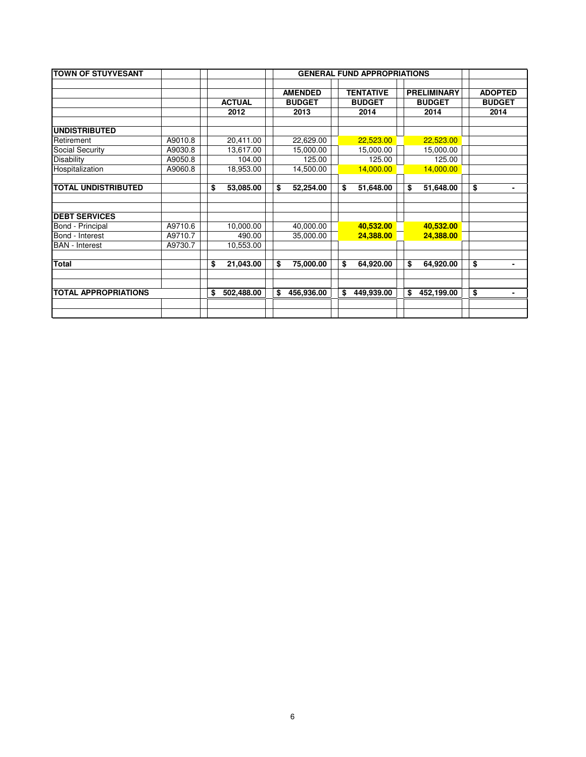| <b>TOWN OF STUYVESANT</b>   |         |                  |                                 | <b>GENERAL FUND APPROPRIATIONS</b> |                                     |                                 |
|-----------------------------|---------|------------------|---------------------------------|------------------------------------|-------------------------------------|---------------------------------|
|                             |         | <b>ACTUAL</b>    | <b>AMENDED</b><br><b>BUDGET</b> | <b>TENTATIVE</b><br><b>BUDGET</b>  | <b>PRELIMINARY</b><br><b>BUDGET</b> | <b>ADOPTED</b><br><b>BUDGET</b> |
|                             |         | 2012             | 2013                            | 2014                               | 2014                                | 2014                            |
| <b>UNDISTRIBUTED</b>        |         |                  |                                 |                                    |                                     |                                 |
| Retirement                  | A9010.8 | 20,411.00        | 22,629.00                       | 22,523.00                          | 22,523.00                           |                                 |
| Social Security             | A9030.8 | 13,617.00        | 15,000.00                       | 15,000.00                          | 15,000.00                           |                                 |
| <b>Disability</b>           | A9050.8 | 104.00           | 125.00                          | 125.00                             | 125.00                              |                                 |
| Hospitalization             | A9060.8 | 18,953.00        | 14,500.00                       | 14,000.00                          | 14,000.00                           |                                 |
| <b>TOTAL UNDISTRIBUTED</b>  |         | \$<br>53,085.00  | \$<br>52,254.00                 | \$<br>51,648.00                    | \$<br>51,648.00                     | \$<br>٠                         |
| <b>DEBT SERVICES</b>        |         |                  |                                 |                                    |                                     |                                 |
| Bond - Principal            | A9710.6 | 10,000.00        | 40,000.00                       | 40,532.00                          | 40,532.00                           |                                 |
| Bond - Interest             | A9710.7 | 490.00           | 35,000.00                       | 24,388.00                          | 24,388.00                           |                                 |
| <b>BAN</b> - Interest       | A9730.7 | 10,553.00        |                                 |                                    |                                     |                                 |
| <b>Total</b>                |         | \$<br>21,043.00  | \$<br>75,000.00                 | \$<br>64,920.00                    | \$<br>64,920.00                     | \$<br>$\blacksquare$            |
| <b>TOTAL APPROPRIATIONS</b> |         | \$<br>502,488.00 | \$<br>456,936.00                | \$<br>449,939.00                   | \$<br>452,199.00                    | \$<br>٠                         |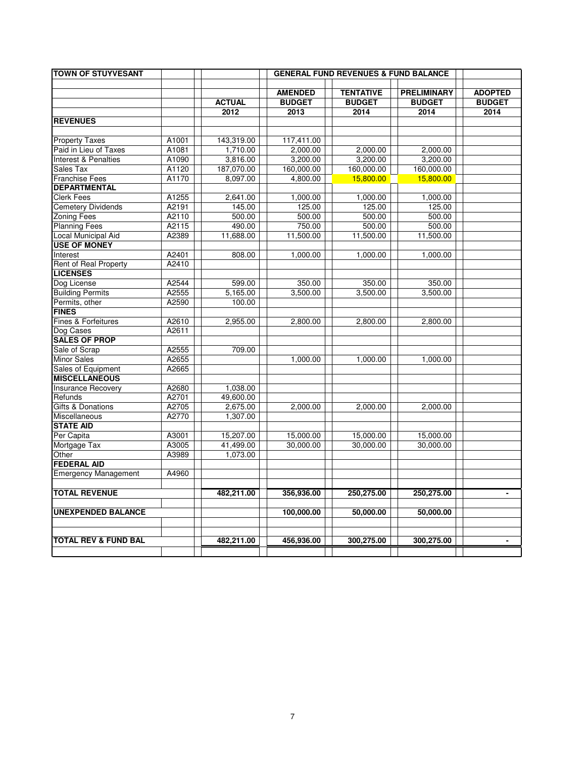| <b>TOWN OF STUYVESANT</b>       |       |               |                                 | <b>GENERAL FUND REVENUES &amp; FUND BALANCE</b> |                                     |                                 |
|---------------------------------|-------|---------------|---------------------------------|-------------------------------------------------|-------------------------------------|---------------------------------|
|                                 |       |               |                                 |                                                 |                                     |                                 |
|                                 |       | <b>ACTUAL</b> | <b>AMENDED</b><br><b>BUDGET</b> | <b>TENTATIVE</b><br><b>BUDGET</b>               | <b>PRELIMINARY</b><br><b>BUDGET</b> | <b>ADOPTED</b><br><b>BUDGET</b> |
|                                 |       | 2012          | 2013                            | 2014                                            | 2014                                | 2014                            |
| <b>REVENUES</b>                 |       |               |                                 |                                                 |                                     |                                 |
|                                 |       |               |                                 |                                                 |                                     |                                 |
| <b>Property Taxes</b>           | A1001 | 143,319.00    | 117,411.00                      |                                                 |                                     |                                 |
| Paid in Lieu of Taxes           | A1081 | 1,710.00      | 2,000.00                        | 2,000.00                                        | 2,000.00                            |                                 |
| Interest & Penalties            | A1090 | 3,816.00      | 3,200.00                        | 3,200.00                                        | 3,200.00                            |                                 |
| Sales Tax                       | A1120 | 187,070.00    | 160,000.00                      | 160,000.00                                      | 160,000.00                          |                                 |
| <b>Franchise Fees</b>           | A1170 | 8,097.00      | 4,800.00                        | 15,800.00                                       | 15,800.00                           |                                 |
| <b>DEPARTMENTAL</b>             |       |               |                                 |                                                 |                                     |                                 |
| <b>Clerk Fees</b>               | A1255 | 2,641.00      | 1,000.00                        | 1,000.00                                        | 1,000.00                            |                                 |
| <b>Cemetery Dividends</b>       | A2191 | 145.00        | 125.00                          | 125.00                                          | 125.00                              |                                 |
| <b>Zoning Fees</b>              | A2110 | 500.00        | 500.00                          | 500.00                                          | 500.00                              |                                 |
| <b>Planning Fees</b>            | A2115 | 490.00        | 750.00                          | 500.00                                          | 500.00                              |                                 |
| <b>Local Municipal Aid</b>      | A2389 | 11,688.00     | 11,500.00                       | 11,500.00                                       | 11,500.00                           |                                 |
| <b>USE OF MONEY</b>             |       |               |                                 |                                                 |                                     |                                 |
| Interest                        | A2401 | 808.00        | 1,000.00                        | 1,000.00                                        | 1,000.00                            |                                 |
| Rent of Real Property           | A2410 |               |                                 |                                                 |                                     |                                 |
| <b>LICENSES</b>                 |       |               |                                 |                                                 |                                     |                                 |
| Dog License                     | A2544 | 599.00        | 350.00                          | 350.00                                          | 350.00                              |                                 |
| <b>Building Permits</b>         | A2555 | 5,165.00      | 3,500.00                        | 3,500.00                                        | 3,500.00                            |                                 |
| Permits, other                  | A2590 | 100.00        |                                 |                                                 |                                     |                                 |
| <b>FINES</b>                    |       |               |                                 |                                                 |                                     |                                 |
| Fines & Forfeitures             | A2610 | 2,955.00      | 2,800.00                        | 2,800.00                                        | 2,800.00                            |                                 |
| Dog Cases                       | A2611 |               |                                 |                                                 |                                     |                                 |
| <b>SALES OF PROP</b>            |       |               |                                 |                                                 |                                     |                                 |
| Sale of Scrap                   | A2555 | 709.00        |                                 |                                                 |                                     |                                 |
| <b>Minor Sales</b>              | A2655 |               | 1,000.00                        | 1,000.00                                        | 1,000.00                            |                                 |
| Sales of Equipment              | A2665 |               |                                 |                                                 |                                     |                                 |
| <b>MISCELLANEOUS</b>            |       |               |                                 |                                                 |                                     |                                 |
| <b>Insurance Recovery</b>       | A2680 | 1,038.00      |                                 |                                                 |                                     |                                 |
| Refunds                         | A2701 | 49,600.00     |                                 |                                                 |                                     |                                 |
| Gifts & Donations               | A2705 | 2,675.00      | 2,000.00                        | 2,000.00                                        | 2,000.00                            |                                 |
| Miscellaneous                   | A2770 | 1,307.00      |                                 |                                                 |                                     |                                 |
| <b>STATE AID</b>                |       |               |                                 |                                                 |                                     |                                 |
| Per Capita                      | A3001 | 15,207.00     | 15,000.00                       | 15,000.00                                       | 15,000.00                           |                                 |
| Mortgage Tax                    | A3005 | 41,499.00     | 30,000.00                       | 30,000.00                                       | 30,000.00                           |                                 |
| Other                           | A3989 | 1,073.00      |                                 |                                                 |                                     |                                 |
| <b>FEDERAL AID</b>              |       |               |                                 |                                                 |                                     |                                 |
| <b>Emergency Management</b>     | A4960 |               |                                 |                                                 |                                     |                                 |
|                                 |       |               |                                 |                                                 |                                     |                                 |
| <b>TOTAL REVENUE</b>            |       | 482,211.00    | 356,936.00                      | 250,275.00                                      | 250,275.00                          | $\blacksquare$                  |
| <b>UNEXPENDED BALANCE</b>       |       |               | 100,000.00                      | 50,000.00                                       | 50,000.00                           |                                 |
|                                 |       |               |                                 |                                                 |                                     |                                 |
|                                 |       |               |                                 |                                                 |                                     |                                 |
| <b>TOTAL REV &amp; FUND BAL</b> |       | 482,211.00    | 456,936.00                      | 300,275.00                                      | 300,275.00                          | $\overline{\phantom{0}}$        |
|                                 |       |               |                                 |                                                 |                                     |                                 |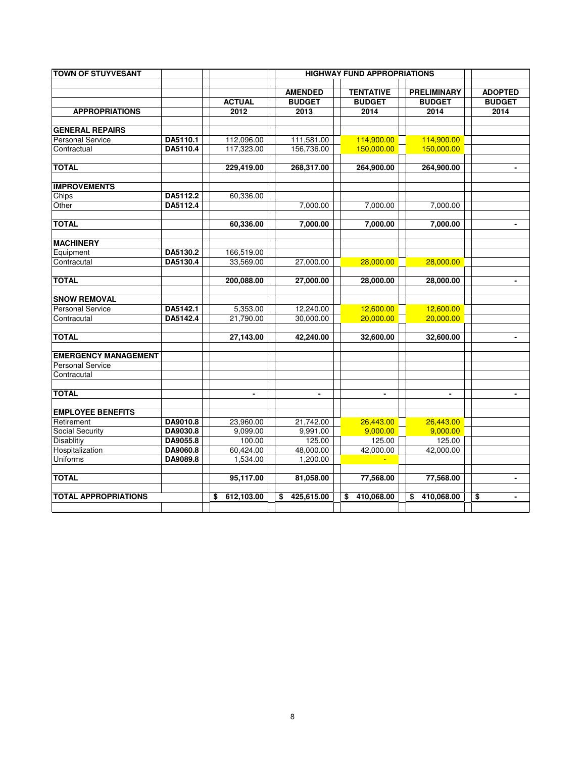| <b>TOWN OF STUYVESANT</b>   |          |                  |                                 | <b>HIGHWAY FUND APPROPRIATIONS</b> |                                     |                                 |
|-----------------------------|----------|------------------|---------------------------------|------------------------------------|-------------------------------------|---------------------------------|
|                             |          | <b>ACTUAL</b>    | <b>AMENDED</b><br><b>BUDGET</b> | <b>TENTATIVE</b><br><b>BUDGET</b>  | <b>PRELIMINARY</b><br><b>BUDGET</b> | <b>ADOPTED</b><br><b>BUDGET</b> |
| <b>APPROPRIATIONS</b>       |          | 2012             | 2013                            | 2014                               | 2014                                | 2014                            |
| <b>GENERAL REPAIRS</b>      |          |                  |                                 |                                    |                                     |                                 |
| <b>Personal Service</b>     | DA5110.1 | 112,096.00       | 111,581.00                      | 114,900.00                         | 114,900.00                          |                                 |
| Contractual                 | DA5110.4 | 117,323.00       | 156,736.00                      | 150,000.00                         | 150,000.00                          |                                 |
| <b>TOTAL</b>                |          | 229,419.00       | 268,317.00                      | 264,900.00                         | 264,900.00                          | $\blacksquare$                  |
| <b>IMPROVEMENTS</b>         |          |                  |                                 |                                    |                                     |                                 |
| Chips                       | DA5112.2 | 60,336.00        |                                 |                                    |                                     |                                 |
| Other                       | DA5112.4 |                  | 7,000.00                        | 7,000.00                           | 7,000.00                            |                                 |
|                             |          |                  |                                 |                                    |                                     |                                 |
| <b>TOTAL</b>                |          | 60,336.00        | 7,000.00                        | 7,000.00                           | 7,000.00                            | $\blacksquare$                  |
| <b>MACHINERY</b>            |          |                  |                                 |                                    |                                     |                                 |
| Equipment                   | DA5130.2 | 166,519.00       |                                 |                                    |                                     |                                 |
| Contracutal                 | DA5130.4 | 33,569.00        | 27,000.00                       | 28,000.00                          | 28,000.00                           |                                 |
| <b>TOTAL</b>                |          | 200,088.00       | 27,000.00                       | 28,000.00                          | 28,000.00                           | $\blacksquare$                  |
| <b>SNOW REMOVAL</b>         |          |                  |                                 |                                    |                                     |                                 |
| <b>Personal Service</b>     | DA5142.1 | 5,353.00         | 12,240.00                       | 12,600.00                          | 12,600.00                           |                                 |
| Contracutal                 | DA5142.4 | 21,790.00        | 30,000.00                       | 20,000.00                          | 20,000.00                           |                                 |
| <b>TOTAL</b>                |          | 27,143.00        | 42,240.00                       | 32,600.00                          | 32,600.00                           | $\qquad \qquad \blacksquare$    |
| <b>EMERGENCY MANAGEMENT</b> |          |                  |                                 |                                    |                                     |                                 |
| <b>Personal Service</b>     |          |                  |                                 |                                    |                                     |                                 |
| Contracutal                 |          |                  |                                 |                                    |                                     |                                 |
| <b>TOTAL</b>                |          | $\blacksquare$   | $\blacksquare$                  | $\blacksquare$                     | $\blacksquare$                      | $\blacksquare$                  |
| <b>EMPLOYEE BENEFITS</b>    |          |                  |                                 |                                    |                                     |                                 |
| Retirement                  | DA9010.8 | 23,960.00        | 21,742.00                       | 26,443.00                          | 26,443.00                           |                                 |
| Social Security             | DA9030.8 | 9,099.00         | 9,991.00                        | 9,000.00                           | 9,000.00                            |                                 |
| Disablitiy                  | DA9055.8 | 100.00           | 125.00                          | 125.00                             | 125.00                              |                                 |
| Hospitalization             | DA9060.8 | 60,424.00        | 48,000.00                       | 42,000.00                          | 42,000.00                           |                                 |
| Uniforms                    | DA9089.8 | 1,534.00         | 1,200.00                        |                                    |                                     |                                 |
| <b>TOTAL</b>                |          | 95,117.00        | 81,058.00                       | 77,568.00                          | 77,568.00                           | $\qquad \qquad \blacksquare$    |
| <b>TOTAL APPROPRIATIONS</b> |          | 612,103.00<br>\$ | \$<br>425,615.00                | 410.068.00<br>\$                   | 410.068.00<br>\$                    | \$<br>$\blacksquare$            |
|                             |          |                  |                                 |                                    |                                     |                                 |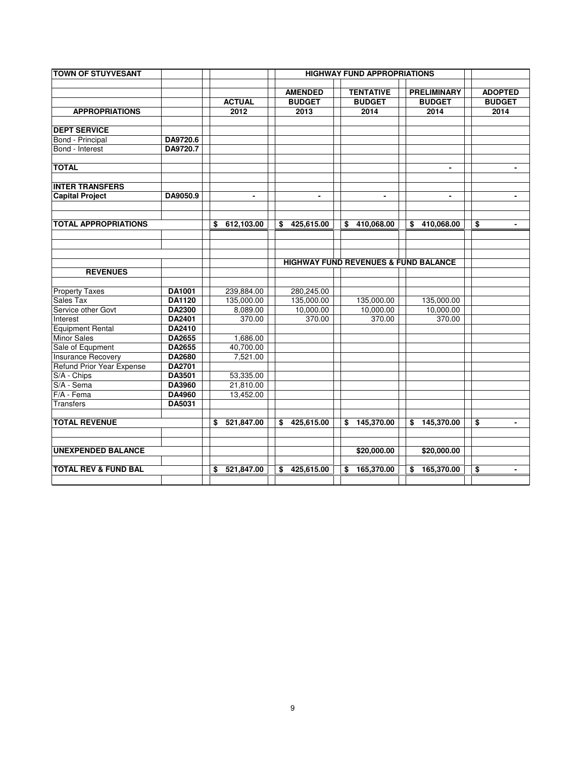| <b>TOWN OF STUYVESANT</b>               |          |                  |                  | <b>HIGHWAY FUND APPROPRIATIONS</b>              |                    |                      |
|-----------------------------------------|----------|------------------|------------------|-------------------------------------------------|--------------------|----------------------|
|                                         |          |                  | <b>AMENDED</b>   | <b>TENTATIVE</b>                                | <b>PRELIMINARY</b> | <b>ADOPTED</b>       |
|                                         |          | <b>ACTUAL</b>    | <b>BUDGET</b>    | <b>BUDGET</b>                                   | <b>BUDGET</b>      | <b>BUDGET</b>        |
| <b>APPROPRIATIONS</b>                   |          | 2012             | 2013             | 2014                                            | 2014               | 2014                 |
|                                         |          |                  |                  |                                                 |                    |                      |
| <b>DEPT SERVICE</b><br>Bond - Principal | DA9720.6 |                  |                  |                                                 |                    |                      |
| Bond - Interest                         | DA9720.7 |                  |                  |                                                 |                    |                      |
|                                         |          |                  |                  |                                                 |                    |                      |
| <b>TOTAL</b>                            |          |                  |                  |                                                 | $\blacksquare$     | $\blacksquare$       |
| <b>INTER TRANSFERS</b>                  |          |                  |                  |                                                 |                    |                      |
| <b>Capital Project</b>                  | DA9050.9 | $\blacksquare$   | $\blacksquare$   | $\blacksquare$                                  | $\blacksquare$     | $\blacksquare$       |
|                                         |          |                  |                  |                                                 |                    |                      |
| <b>TOTAL APPROPRIATIONS</b>             |          | 612,103.00<br>\$ | 425,615.00<br>\$ | 410.068.00<br>\$                                | \$<br>410,068.00   | \$<br>$\blacksquare$ |
|                                         |          |                  |                  |                                                 |                    |                      |
|                                         |          |                  |                  | <b>HIGHWAY FUND REVENUES &amp; FUND BALANCE</b> |                    |                      |
| <b>REVENUES</b>                         |          |                  |                  |                                                 |                    |                      |
| <b>Property Taxes</b>                   | DA1001   | 239,884.00       | 280,245.00       |                                                 |                    |                      |
| Sales Tax                               | DA1120   | 135,000.00       | 135,000.00       | 135,000.00                                      | 135,000.00         |                      |
| Service other Govt                      | DA2300   | 8,089.00         | 10,000.00        | 10,000.00                                       | 10,000.00          |                      |
| Interest                                | DA2401   | 370.00           | 370.00           | 370.00                                          | 370.00             |                      |
| <b>Equipment Rental</b>                 | DA2410   |                  |                  |                                                 |                    |                      |
| <b>Minor Sales</b>                      | DA2655   | 1.686.00         |                  |                                                 |                    |                      |
| Sale of Equpment                        | DA2655   | 40,700.00        |                  |                                                 |                    |                      |
| <b>Insurance Recovery</b>               | DA2680   | 7,521.00         |                  |                                                 |                    |                      |
| <b>Refund Prior Year Expense</b>        | DA2701   |                  |                  |                                                 |                    |                      |
| S/A - Chips                             | DA3501   | 53,335.00        |                  |                                                 |                    |                      |
| S/A - Sema                              | DA3960   | 21,810.00        |                  |                                                 |                    |                      |
| F/A - Fema                              | DA4960   | 13,452.00        |                  |                                                 |                    |                      |
| <b>Transfers</b>                        | DA5031   |                  |                  |                                                 |                    |                      |
| <b>TOTAL REVENUE</b>                    |          | 521,847.00<br>\$ | \$425,615.00     | 145,370.00<br>\$                                | \$<br>145,370.00   | \$<br>$\blacksquare$ |
| <b>UNEXPENDED BALANCE</b>               |          |                  |                  | \$20,000.00                                     | \$20,000.00        |                      |
|                                         |          |                  |                  |                                                 |                    |                      |
| <b>TOTAL REV &amp; FUND BAL</b>         |          | 521,847.00<br>\$ | 425,615.00<br>\$ | 165,370.00<br>\$                                | \$<br>165,370.00   | \$<br>$\blacksquare$ |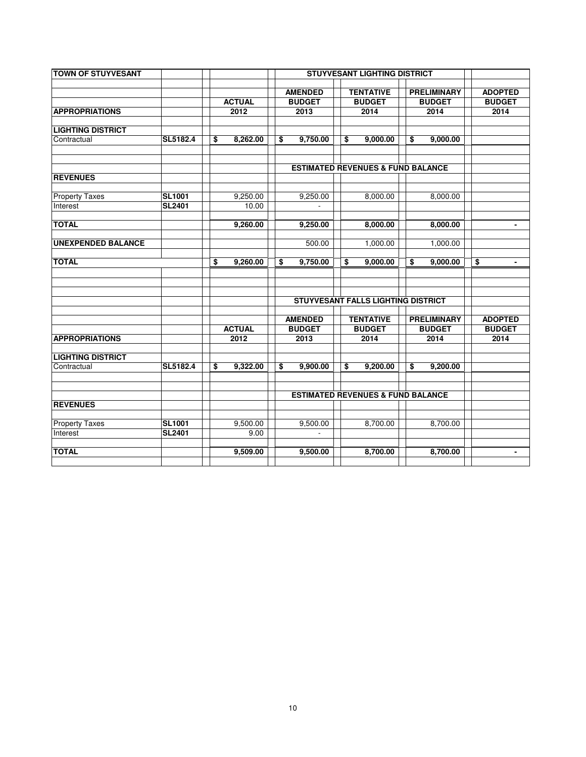| <b>TOWN OF STUYVESANT</b> |               |      |               |                                 | <b>STUYVESANT LIGHTING DISTRICT</b>          |                                     |                                 |
|---------------------------|---------------|------|---------------|---------------------------------|----------------------------------------------|-------------------------------------|---------------------------------|
|                           |               |      | <b>ACTUAL</b> | <b>AMENDED</b><br><b>BUDGET</b> | <b>TENTATIVE</b><br><b>BUDGET</b>            | <b>PRELIMINARY</b><br><b>BUDGET</b> | <b>ADOPTED</b><br><b>BUDGET</b> |
| <b>APPROPRIATIONS</b>     |               | 2012 |               | 2013                            | 2014                                         | 2014                                | 2014                            |
| <b>LIGHTING DISTRICT</b>  |               |      |               |                                 |                                              |                                     |                                 |
| Contractual               | SL5182.4      | \$   | 8,262.00      | \$<br>9,750.00                  | \$<br>9,000.00                               | \$<br>9,000.00                      |                                 |
|                           |               |      |               |                                 | <b>ESTIMATED REVENUES &amp; FUND BALANCE</b> |                                     |                                 |
| <b>REVENUES</b>           |               |      |               |                                 |                                              |                                     |                                 |
| <b>Property Taxes</b>     | <b>SL1001</b> |      | 9,250.00      | 9.250.00                        | 8.000.00                                     | 8,000.00                            |                                 |
| Interest                  | <b>SL2401</b> |      | 10.00         |                                 |                                              |                                     |                                 |
| <b>TOTAL</b>              |               |      | 9,260.00      | 9,250.00                        | 8,000.00                                     | 8,000.00                            | $\blacksquare$                  |
| <b>UNEXPENDED BALANCE</b> |               |      |               | 500.00                          | 1,000.00                                     | 1,000.00                            |                                 |
| <b>TOTAL</b>              |               | \$   | 9,260.00      | \$<br>9,750.00                  | \$<br>9,000.00                               | \$<br>9,000.00                      | \$                              |
|                           |               |      |               |                                 | STUYVESANT FALLS LIGHTING DISTRICT           |                                     |                                 |
|                           |               |      |               |                                 |                                              |                                     |                                 |
|                           |               |      | <b>ACTUAL</b> | <b>AMENDED</b><br><b>BUDGET</b> | <b>TENTATIVE</b><br><b>BUDGET</b>            | <b>PRELIMINARY</b><br><b>BUDGET</b> | <b>ADOPTED</b><br><b>BUDGET</b> |
| <b>APPROPRIATIONS</b>     |               |      | 2012          | 2013                            | 2014                                         | 2014                                | 2014                            |
| <b>LIGHTING DISTRICT</b>  |               |      |               |                                 |                                              |                                     |                                 |
| Contractual               | SL5182.4      | \$   | 9,322.00      | \$<br>9,900.00                  | \$<br>9,200.00                               | \$<br>9,200.00                      |                                 |
|                           |               |      |               |                                 | <b>ESTIMATED REVENUES &amp; FUND BALANCE</b> |                                     |                                 |
| <b>REVENUES</b>           |               |      |               |                                 |                                              |                                     |                                 |
| <b>Property Taxes</b>     | <b>SL1001</b> |      | 9,500.00      | 9,500.00                        | 8,700.00                                     | 8,700.00                            |                                 |
| Interest                  | <b>SL2401</b> |      | 9.00          |                                 |                                              |                                     |                                 |
| <b>TOTAL</b>              |               |      | 9,509.00      | 9,500.00                        | 8,700.00                                     | 8,700.00                            | $\blacksquare$                  |